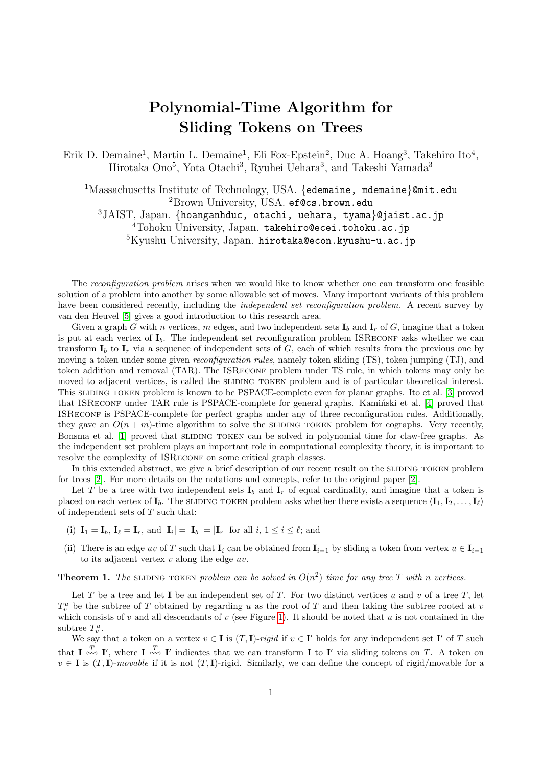## Polynomial-Time Algorithm for Sliding Tokens on Trees

Erik D. Demaine<sup>1</sup>, Martin L. Demaine<sup>1</sup>, Eli Fox-Epstein<sup>2</sup>, Duc A. Hoang<sup>3</sup>, Takehiro Ito<sup>4</sup>, Hirotaka Ono<sup>5</sup>, Yota Otachi<sup>3</sup>, Ryuhei Uehara<sup>3</sup>, and Takeshi Yamada<sup>3</sup>

<sup>1</sup>Massachusetts Institute of Technology, USA. {edemaine, mdemaine}@mit.edu <sup>2</sup>Brown University, USA. ef@cs.brown.edu <sup>3</sup>JAIST, Japan. {hoanganhduc, otachi, uehara, tyama}@jaist.ac.jp <sup>4</sup>Tohoku University, Japan. takehiro@ecei.tohoku.ac.jp <sup>5</sup>Kyushu University, Japan. hirotaka@econ.kyushu-u.ac.jp

The reconfiguration problem arises when we would like to know whether one can transform one feasible solution of a problem into another by some allowable set of moves. Many important variants of this problem have been considered recently, including the *independent set reconfiguration problem*. A recent survey by van den Heuvel [\[5\]](#page-1-0) gives a good introduction to this research area.

Given a graph G with n vertices, m edges, and two independent sets  $I_b$  and  $I_r$  of G, imagine that a token is put at each vertex of  $I<sub>b</sub>$ . The independent set reconfiguration problem ISRECONF asks whether we can transform  $I_b$  to  $I_r$  via a sequence of independent sets of G, each of which results from the previous one by moving a token under some given *reconfiguration rules*, namely token sliding (TS), token jumping (TJ), and token addition and removal (TAR). The ISRECONF problem under TS rule, in which tokens may only be moved to adjacent vertices, is called the SLIDING TOKEN problem and is of particular theoretical interest. This sliding token problem is known to be PSPACE-complete even for planar graphs. Ito et al. [\[3\]](#page-1-1) proved that ISRECONF under TAR rule is PSPACE-complete for general graphs. Kamin'ski et al. [\[4\]](#page-1-2) proved that ISReconf is PSPACE-complete for perfect graphs under any of three reconfiguration rules. Additionally, they gave an  $O(n+m)$ -time algorithm to solve the SLIDING TOKEN problem for cographs. Very recently, Bonsma et al. [\[1\]](#page-1-3) proved that SLIDING TOKEN can be solved in polynomial time for claw-free graphs. As the independent set problem plays an important role in computational complexity theory, it is important to resolve the complexity of ISRECONF on some critical graph classes.

In this extended abstract, we give a brief description of our recent result on the SLIDING TOKEN problem for trees [\[2\]](#page-1-4). For more details on the notations and concepts, refer to the original paper [\[2\]](#page-1-4).

Let T be a tree with two independent sets  $I_b$  and  $I_r$  of equal cardinality, and imagine that a token is placed on each vertex of  $I_b$ . The sliding token problem asks whether there exists a sequence  $\langle I_1, I_2, \ldots, I_\ell \rangle$ of independent sets of  $T$  such that:

- (i)  $\mathbf{I}_1 = \mathbf{I}_b, \mathbf{I}_\ell = \mathbf{I}_r$ , and  $|\mathbf{I}_i| = |\mathbf{I}_b| = |\mathbf{I}_r|$  for all  $i, 1 \le i \le \ell$ ; and
- (ii) There is an edge uv of T such that  $I_i$  can be obtained from  $I_{i-1}$  by sliding a token from vertex  $u \in I_{i-1}$ to its adjacent vertex  $v$  along the edge  $uv$ .

**Theorem 1.** The SLIDING TOKEN problem can be solved in  $O(n^2)$  time for any tree T with n vertices.

Let T be a tree and let I be an independent set of T. For two distinct vertices u and v of a tree T, let  $T_v^u$  be the subtree of T obtained by regarding u as the root of T and then taking the subtree rooted at v which consists of v and all descendants of v (see Figure [1\)](#page-1-5). It should be noted that u is not contained in the subtree  $T_v^u$ .

We say that a token on a vertex  $v \in I$  is  $(T, I)$ -rigid if  $v \in I'$  holds for any independent set  $I'$  of T such that  $\mathbf{I} \stackrel{T}{\leftrightsquigarrow} \mathbf{I}'$ , where  $\mathbf{I} \stackrel{T}{\leftrightsquigarrow} \mathbf{I}'$  indicates that we can transform  $\mathbf{I}$  to  $\mathbf{I}'$  via sliding tokens on T. A token on  $v \in I$  is  $(T, I)$ -movable if it is not  $(T, I)$ -rigid. Similarly, we can define the concept of rigid/movable for a